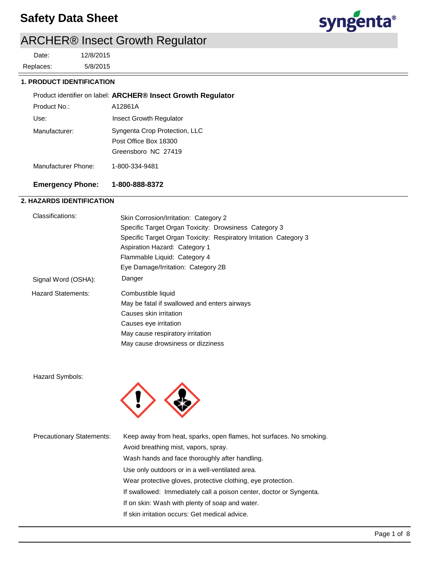## **Safety Data Sheet**



# ARCHER® Insect Growth Regulator

5/8/2015 12/8/2015 Replaces: Date:

#### **1. PRODUCT IDENTIFICATION**

|                     | Product identifier on label: ARCHER® Insect Growth Regulator |
|---------------------|--------------------------------------------------------------|
| Product No.:        | A12861A                                                      |
| Use:                | Insect Growth Regulator                                      |
| Manufacturer:       | Syngenta Crop Protection, LLC                                |
|                     | Post Office Box 18300                                        |
|                     | Greensboro NC 27419                                          |
| Manufacturer Phone: | 1-800-334-9481                                               |
|                     |                                                              |

## **Emergency Phone: 1-800-888-8372**

### **2. HAZARDS IDENTIFICATION**

| Classifications:          | Skin Corrosion/Irritation: Category 2                             |  |
|---------------------------|-------------------------------------------------------------------|--|
|                           | Specific Target Organ Toxicity: Drowsiness Category 3             |  |
|                           | Specific Target Organ Toxicity: Respiratory Irritation Category 3 |  |
|                           | Aspiration Hazard: Category 1                                     |  |
|                           | Flammable Liquid: Category 4                                      |  |
|                           | Eye Damage/Irritation: Category 2B                                |  |
| Signal Word (OSHA):       | Danger                                                            |  |
| <b>Hazard Statements:</b> | Combustible liquid                                                |  |
|                           | May be fatal if swallowed and enters airways                      |  |
|                           | Causes skin irritation                                            |  |
|                           | Causes eye irritation                                             |  |
|                           | May cause respiratory irritation                                  |  |
|                           | May cause drowsiness or dizziness                                 |  |
|                           |                                                                   |  |

Hazard Symbols:



| <b>Precautionary Statements:</b> | Keep away from heat, sparks, open flames, hot surfaces. No smoking. |
|----------------------------------|---------------------------------------------------------------------|
|                                  | Avoid breathing mist, vapors, spray.                                |
|                                  | Wash hands and face thoroughly after handling.                      |
|                                  | Use only outdoors or in a well-ventilated area.                     |
|                                  | Wear protective gloves, protective clothing, eye protection.        |
|                                  | If swallowed: Immediately call a poison center, doctor or Syngenta. |
|                                  | If on skin: Wash with plenty of soap and water.                     |
|                                  | If skin irritation occurs: Get medical advice.                      |
|                                  |                                                                     |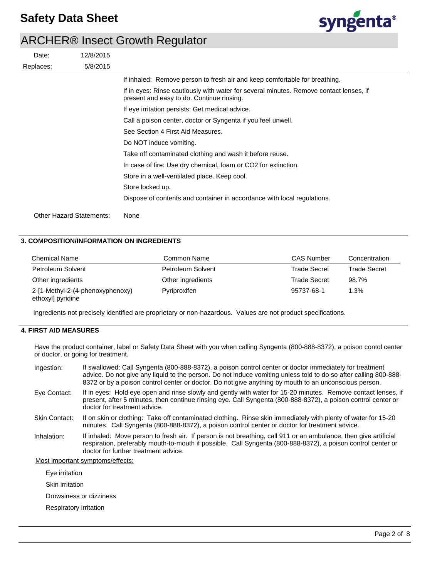

| Date:                           | 12/8/2015 |                                                                                                                                     |
|---------------------------------|-----------|-------------------------------------------------------------------------------------------------------------------------------------|
| Replaces:                       | 5/8/2015  |                                                                                                                                     |
|                                 |           | If inhaled: Remove person to fresh air and keep comfortable for breathing.                                                          |
|                                 |           | If in eyes: Rinse cautiously with water for several minutes. Remove contact lenses, if<br>present and easy to do. Continue rinsing. |
|                                 |           | If eye irritation persists: Get medical advice.                                                                                     |
|                                 |           | Call a poison center, doctor or Syngenta if you feel unwell.                                                                        |
|                                 |           | See Section 4 First Aid Measures.                                                                                                   |
|                                 |           | Do NOT induce vomiting.                                                                                                             |
|                                 |           | Take off contaminated clothing and wash it before reuse.                                                                            |
|                                 |           | In case of fire: Use dry chemical, foam or CO2 for extinction.                                                                      |
|                                 |           | Store in a well-ventilated place. Keep cool.                                                                                        |
|                                 |           | Store locked up.                                                                                                                    |
|                                 |           | Dispose of contents and container in accordance with local regulations.                                                             |
| <b>Other Hazard Statements:</b> |           | None                                                                                                                                |

#### **3. COMPOSITION/INFORMATION ON INGREDIENTS**

| <b>Chemical Name</b>                                  | Common Name       | <b>CAS Number</b>   | Concentration       |
|-------------------------------------------------------|-------------------|---------------------|---------------------|
| Petroleum Solvent                                     | Petroleum Solvent | <b>Trade Secret</b> | <b>Trade Secret</b> |
| Other ingredients                                     | Other ingredients | <b>Trade Secret</b> | 98.7%               |
| 2-[1-Methyl-2-(4-phenoxyphenoxy)<br>ethoxyl] pyridine | Pyriproxifen      | 95737-68-1          | 1.3%                |

Ingredients not precisely identified are proprietary or non-hazardous. Values are not product specifications.

### **4. FIRST AID MEASURES**

Have the product container, label or Safety Data Sheet with you when calling Syngenta (800-888-8372), a poison contol center or doctor, or going for treatment.

| Ingestion:                       | If swallowed: Call Syngenta (800-888-8372), a poison control center or doctor immediately for treatment<br>advice. Do not give any liquid to the person. Do not induce vomiting unless told to do so after calling 800-888-<br>8372 or by a poison control center or doctor. Do not give anything by mouth to an unconscious person. |  |
|----------------------------------|--------------------------------------------------------------------------------------------------------------------------------------------------------------------------------------------------------------------------------------------------------------------------------------------------------------------------------------|--|
| Eye Contact:                     | If in eyes: Hold eye open and rinse slowly and gently with water for 15-20 minutes. Remove contact lenses, if<br>present, after 5 minutes, then continue rinsing eye. Call Syngenta (800-888-8372), a poison control center or<br>doctor for treatment advice.                                                                       |  |
| Skin Contact:                    | If on skin or clothing: Take off contaminated clothing. Rinse skin immediately with plenty of water for 15-20<br>minutes. Call Syngenta (800-888-8372), a poison control center or doctor for treatment advice.                                                                                                                      |  |
| Inhalation:                      | If inhaled: Move person to fresh air. If person is not breathing, call 911 or an ambulance, then give artificial<br>respiration, preferably mouth-to-mouth if possible. Call Syngenta (800-888-8372), a poison control center or<br>doctor for further treatment advice.                                                             |  |
| Most important symptoms/effects: |                                                                                                                                                                                                                                                                                                                                      |  |

Eye irritation

Skin irritation

Drowsiness or dizziness

Respiratory irritation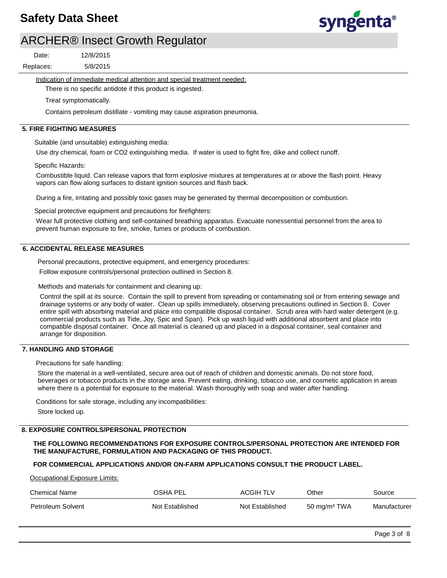

5/8/2015 12/8/2015 Replaces: Date:

Indication of immediate medical attention and special treatment needed:

There is no specific antidote if this product is ingested.

Treat symptomatically.

Contains petroleum distillate - vomiting may cause aspiration pneumonia.

#### **5. FIRE FIGHTING MEASURES**

Suitable (and unsuitable) extinguishing media:

Use dry chemical, foam or CO2 extinguishing media. If water is used to fight fire, dike and collect runoff.

Specific Hazards:

Combustible liquid. Can release vapors that form explosive mixtures at temperatures at or above the flash point. Heavy vapors can flow along surfaces to distant ignition sources and flash back.

During a fire, irritating and possibly toxic gases may be generated by thermal decomposition or combustion.

Special protective equipment and precautions for firefighters:

Wear full protective clothing and self-contained breathing apparatus. Evacuate nonessential personnel from the area to prevent human exposure to fire, smoke, fumes or products of combustion.

#### **6. ACCIDENTAL RELEASE MEASURES**

Personal precautions, protective equipment, and emergency procedures:

Follow exposure controls/personal protection outlined in Section 8.

Methods and materials for containment and cleaning up:

Control the spill at its source. Contain the spill to prevent from spreading or contaminating soil or from entering sewage and drainage systems or any body of water. Clean up spills immediately, observing precautions outlined in Section 8. Cover entire spill with absorbing material and place into compatible disposal container. Scrub area with hard water detergent (e.g. commercial products such as Tide, Joy, Spic and Span). Pick up wash liquid with additional absorbent and place into compatible disposal container. Once all material is cleaned up and placed in a disposal container, seal container and arrange for disposition.

### **7. HANDLING AND STORAGE**

Precautions for safe handling:

Store the material in a well-ventilated, secure area out of reach of children and domestic animals. Do not store food, beverages or tobacco products in the storage area. Prevent eating, drinking, tobacco use, and cosmetic application in areas where there is a potential for exposure to the material. Wash thoroughly with soap and water after handling.

Conditions for safe storage, including any incompatibilities: Store locked up.

### **8. EXPOSURE CONTROLS/PERSONAL PROTECTION**

**THE FOLLOWING RECOMMENDATIONS FOR EXPOSURE CONTROLS/PERSONAL PROTECTION ARE INTENDED FOR THE MANUFACTURE, FORMULATION AND PACKAGING OF THIS PRODUCT.** 

### **FOR COMMERCIAL APPLICATIONS AND/OR ON-FARM APPLICATIONS CONSULT THE PRODUCT LABEL.**

Occupational Exposure Limits:

| Chemical Name     | OSHA PEL        | <b>ACGIH TLV</b> | Other           | Source       |
|-------------------|-----------------|------------------|-----------------|--------------|
| Petroleum Solvent | Not Established | Not Established  | 50 mg/m $3$ TWA | Manufacturer |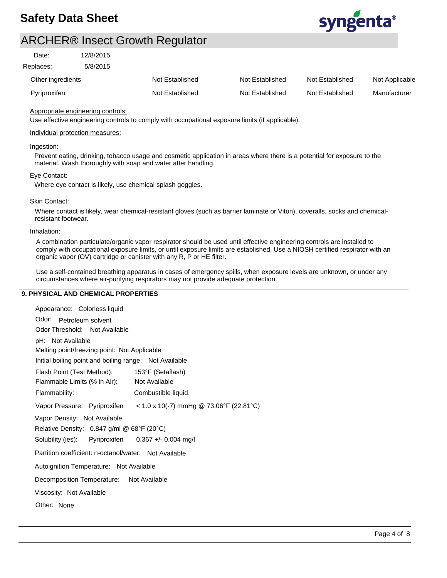

| Date:             | 12/8/2015 |                 |                 |                 |                |
|-------------------|-----------|-----------------|-----------------|-----------------|----------------|
| Replaces:         | 5/8/2015  |                 |                 |                 |                |
| Other ingredients |           | Not Established | Not Established | Not Established | Not Applicable |
| Pyriproxifen      |           | Not Established | Not Established | Not Established | Manufacturer   |

#### Appropriate engineering controls:

Use effective engineering controls to comply with occupational exposure limits (if applicable).

#### Individual protection measures:

#### Ingestion:

Prevent eating, drinking, tobacco usage and cosmetic application in areas where there is a potential for exposure to the material. Wash thoroughly with soap and water after handling.

#### Eye Contact:

Where eye contact is likely, use chemical splash goggles.

#### Skin Contact:

Where contact is likely, wear chemical-resistant gloves (such as barrier laminate or Viton), coveralls, socks and chemicalresistant footwear.

#### Inhalation:

A combination particulate/organic vapor respirator should be used until effective engineering controls are installed to comply with occupational exposure limits, or until exposure limits are established. Use a NIOSH certified respirator with an organic vapor (OV) cartridge or canister with any R, P or HE filter.

Use a self-contained breathing apparatus in cases of emergency spills, when exposure levels are unknown, or under any circumstances where air-purifying respirators may not provide adequate protection.

#### **9. PHYSICAL AND CHEMICAL PROPERTIES**

| Appearance: Colorless liquid                                                 |  |  |  |  |
|------------------------------------------------------------------------------|--|--|--|--|
| Odor: Petroleum solvent                                                      |  |  |  |  |
| Odor Threshold: Not Available                                                |  |  |  |  |
| pH: Not Available                                                            |  |  |  |  |
| Melting point/freezing point: Not Applicable                                 |  |  |  |  |
| Initial boiling point and boiling range: Not Available                       |  |  |  |  |
| Flash Point (Test Method): 153°F (Setaflash)                                 |  |  |  |  |
| Not Available<br>Flammable Limits (% in Air):                                |  |  |  |  |
| Flammability:<br>Combustible liquid.                                         |  |  |  |  |
| Vapor Pressure: Pyriproxifen < $1.0 \times 10$ (-7) mmHg @ 73.06°F (22.81°C) |  |  |  |  |
| Vapor Density: Not Available                                                 |  |  |  |  |
| Relative Density: 0.847 g/ml @ 68°F (20°C)                                   |  |  |  |  |
| Solubility (ies): Pyriproxifen 0.367 +/- 0.004 mg/l                          |  |  |  |  |
| Partition coefficient: n-octanol/water: Not Available                        |  |  |  |  |
| Autoignition Temperature: Not Available                                      |  |  |  |  |
| Decomposition Temperature: Not Available                                     |  |  |  |  |
| Viscosity: Not Available                                                     |  |  |  |  |
| Other: None                                                                  |  |  |  |  |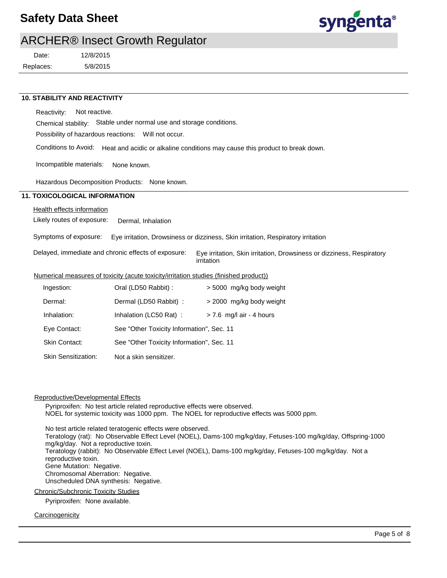## **Safety Data Sheet**



## ARCHER® Insect Growth Regulator

Replaces: Date:

5/8/2015 12/8/2015

### **10. STABILITY AND REACTIVITY**

Reactivity: Not reactive.

Chemical stability: Stable under normal use and storage conditions.

Possibility of hazardous reactions: Will not occur.

Conditions to Avoid: Heat and acidic or alkaline conditions may cause this product to break down.

Incompatible materials: None known.

Hazardous Decomposition Products: None known.

#### **11. TOXICOLOGICAL INFORMATION**

#### Health effects information

Likely routes of exposure: Dermal, Inhalation

Symptoms of exposure: Eye irritation, Drowsiness or dizziness, Skin irritation, Respiratory irritation

Delayed, immediate and chronic effects of exposure: Eye irritation, Skin irritation, Drowsiness or dizziness, Respiratory irritation

#### Numerical measures of toxicity (acute toxicity/irritation studies (finished product))

| Ingestion:                 | Oral (LD50 Rabbit) :                      | > 5000 mg/kg body weight   |
|----------------------------|-------------------------------------------|----------------------------|
| Dermal:                    | Dermal (LD50 Rabbit) :                    | > 2000 mg/kg body weight   |
| Inhalation:                | Inhalation (LC50 Rat):                    | $> 7.6$ mg/l air - 4 hours |
| Eye Contact:               | See "Other Toxicity Information", Sec. 11 |                            |
| <b>Skin Contact:</b>       | See "Other Toxicity Information", Sec. 11 |                            |
| <b>Skin Sensitization:</b> | Not a skin sensitizer.                    |                            |

#### Reproductive/Developmental Effects

Pyriproxifen: No test article related reproductive effects were observed. NOEL for systemic toxicity was 1000 ppm. The NOEL for reproductive effects was 5000 ppm.

No test article related teratogenic effects were observed. Teratology (rat): No Observable Effect Level (NOEL), Dams-100 mg/kg/day, Fetuses-100 mg/kg/day, Offspring-1000 mg/kg/day. Not a reproductive toxin. Teratology (rabbit): No Observable Effect Level (NOEL), Dams-100 mg/kg/day, Fetuses-100 mg/kg/day. Not a reproductive toxin. Gene Mutation: Negative. Chromosomal Aberration: Negative. Unscheduled DNA synthesis: Negative.

#### Chronic/Subchronic Toxicity Studies

Pyriproxifen: None available.

#### **Carcinogenicity**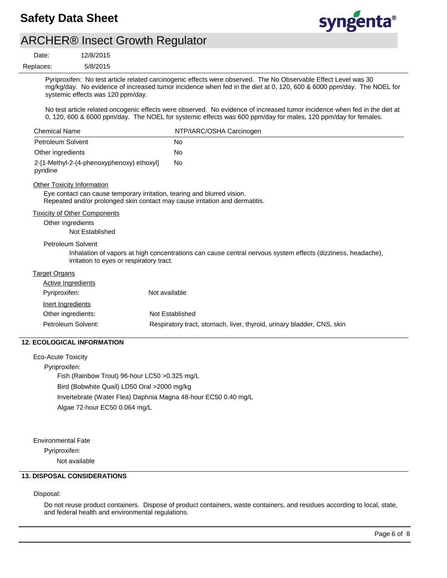

5/8/2015 12/8/2015 Replaces:<br>———————————————————— Date:

> Pyriproxifen: No test article related carcinogenic effects were observed. The No Observable Effect Level was 30 mg/kg/day. No evidence of increased tumor incidence when fed in the diet at 0, 120, 600 & 6000 ppm/day. The NOEL for systemic effects was 120 ppm/day.

> No test article related oncogenic effects were observed. No evidence of increased tumor incidence when fed in the diet at 0, 120, 600 & 6000 ppm/day. The NOEL for systemic effects was 600 ppm/day for males, 120 ppm/day for females.

| <b>Chemical Name</b>                                                                                         | NTP/IARC/OSHA Carcinogen                                                                                    |
|--------------------------------------------------------------------------------------------------------------|-------------------------------------------------------------------------------------------------------------|
| Petroleum Solvent                                                                                            | No.                                                                                                         |
| Other ingredients                                                                                            | No                                                                                                          |
| 2-[1-Methyl-2-(4-phenoxyphenoxy) ethoxyl]<br>pyridine                                                        | No                                                                                                          |
| <b>Other Toxicity Information</b><br>Eye contact can cause temporary irritation, tearing and blurred vision. | Repeated and/or prolonged skin contact may cause irritation and dermatitis.                                 |
| <b>Toxicity of Other Components</b><br>Other ingredients<br>Not Established                                  |                                                                                                             |
| Petroleum Solvent<br>irritation to eyes or respiratory tract.                                                | Inhalation of vapors at high concentrations can cause central nervous system effects (dizziness, headache), |
| <b>Target Organs</b>                                                                                         |                                                                                                             |
| Active Ingredients                                                                                           |                                                                                                             |
| Pyriproxifen:                                                                                                | Not available                                                                                               |
| Inert Ingredients                                                                                            |                                                                                                             |
| Other ingredients:                                                                                           | Not Established                                                                                             |
| Petroleum Solvent:                                                                                           | Respiratory tract, stomach, liver, thyroid, urinary bladder, CNS, skin                                      |

### **12. ECOLOGICAL INFORMATION**

Eco-Acute Toxicity Pyriproxifen: Fish (Rainbow Trout) 96-hour LC50 >0.325 mg/L Bird (Bobwhite Quail) LD50 Oral >2000 mg/kg Invertebrate (Water Flea) Daphnia Magna 48-hour EC50 0.40 mg/L Algae 72-hour EC50 0.064 mg/L

Environmental Fate

Pyriproxifen:

Not available

### **13. DISPOSAL CONSIDERATIONS**

Disposal:

Do not reuse product containers. Dispose of product containers, waste containers, and residues according to local, state, and federal health and environmental regulations.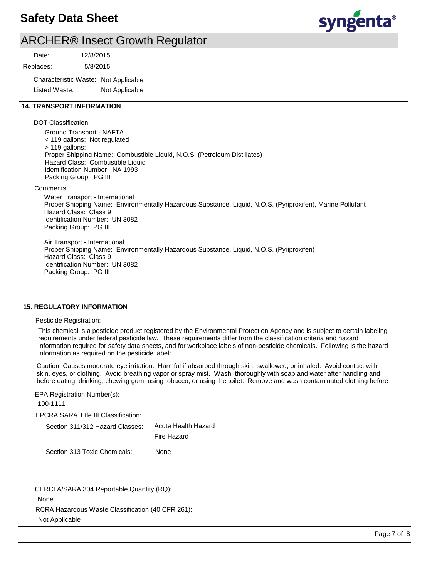## **Safety Data Sheet**



## ARCHER® Insect Growth Regulator

5/8/2015 12/8/2015 Replaces: Date: Characteristic Waste: Not Applicable Listed Waste: Not Applicable  **14. TRANSPORT INFORMATION** DOT Classification Ground Transport - NAFTA < 119 gallons: Not regulated > 119 gallons: Proper Shipping Name: Combustible Liquid, N.O.S. (Petroleum Distillates) Hazard Class: Combustible Liquid Identification Number: NA 1993 Packing Group: PG III **Comments** Water Transport - International Proper Shipping Name: Environmentally Hazardous Substance, Liquid, N.O.S. (Pyriproxifen), Marine Pollutant Hazard Class: Class 9 Identification Number: UN 3082 Packing Group: PG III Air Transport - International Proper Shipping Name: Environmentally Hazardous Substance, Liquid, N.O.S. (Pyriproxifen) Hazard Class: Class 9 Identification Number: UN 3082 Packing Group: PG III

#### **15. REGULATORY INFORMATION**

#### Pesticide Registration:

This chemical is a pesticide product registered by the Environmental Protection Agency and is subject to certain labeling requirements under federal pesticide law. These requirements differ from the classification criteria and hazard information required for safety data sheets, and for workplace labels of non-pesticide chemicals. Following is the hazard information as required on the pesticide label:

Caution: Causes moderate eye irritation. Harmful if absorbed through skin, swallowed, or inhaled. Avoid contact with skin, eyes, or clothing. Avoid breathing vapor or spray mist. Wash thoroughly with soap and water after handling and before eating, drinking, chewing gum, using tobacco, or using the toilet. Remove and wash contaminated clothing before

EPA Registration Number(s): 100-1111

EPCRA SARA Title III Classification:

| Section 311/312 Hazard Classes: | Acute Health Hazard |  |
|---------------------------------|---------------------|--|
|                                 | Fire Hazard         |  |
| - Section 313 Toxic Chemicals:  | None                |  |

RCRA Hazardous Waste Classification (40 CFR 261): Not Applicable CERCLA/SARA 304 Reportable Quantity (RQ): None